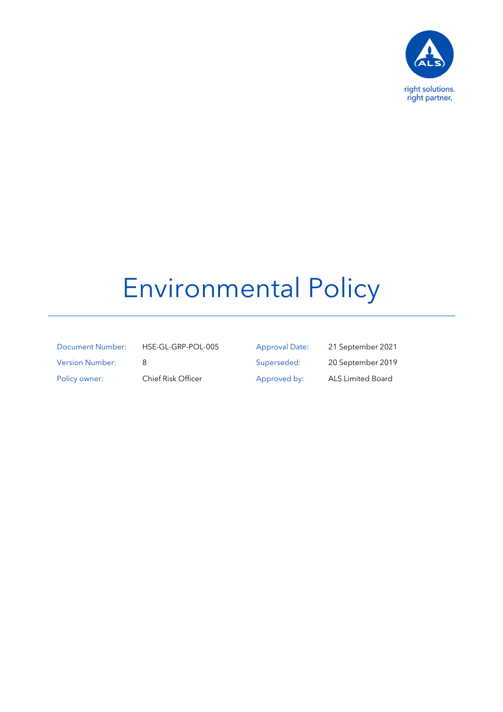

## Environmental Policy

| Document Number:       |
|------------------------|
| <b>Version Number:</b> |
| Policy owner:          |

HSE-GL-GRP-POL-005 Approval Date: 21 September 2021 8 Superseded: 20 September 2019 Chief Risk Officer Approved by: ALS Limited Board